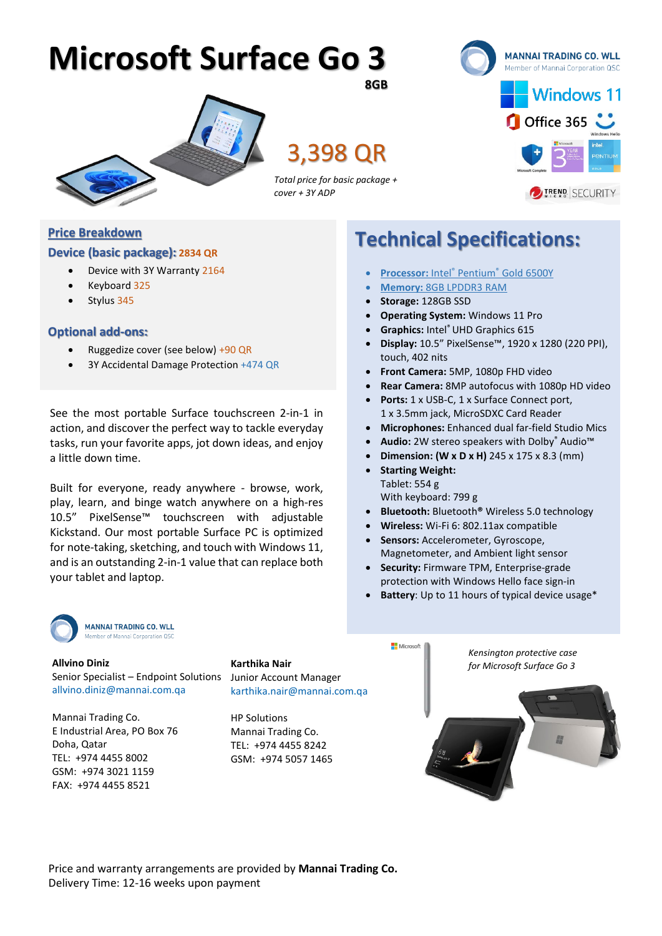## **Microsoft Surface Go 3 8GB**



3,398 QR



*Total price for basic package + cover + 3Y ADP* 

#### **Price Breakdown**

#### **Device (basic package): 2834 QR**

- Device with 3Y Warranty 2164
- Keyboard 325
- Stylus 345

#### **Optional add-ons:**

- Ruggedize cover (see below) +90 QR
- 3Y Accidental Damage Protection +474 QR

See the most portable Surface touchscreen 2-in-1 in action, and discover the perfect way to tackle everyday tasks, run your favorite apps, jot down ideas, and enjoy a little down time.

Built for everyone, ready anywhere - browse, work, play, learn, and binge watch anywhere on a high-res 10.5" PixelSense™ touchscreen with adjustable Kickstand. Our most portable Surface PC is optimized for note-taking, sketching, and touch with Windows 11, and is an outstanding 2-in-1 value that can replace both your tablet and laptop.



Senior Specialist – Endpoint Solutions Junior Account Manager **Allvino Diniz** [allvino.diniz@mannai.com.qa](mailto:allvino.diniz@mannai.com.qa)

Mannai Trading Co. E Industrial Area, PO Box 76 Doha, Qatar TEL: +974 4455 8002 GSM: +974 3021 1159 FAX: +974 4455 8521

[karthika.nair@mannai.com.qa](mailto:karthika.nair@mannai.com.qa)

HP Solutions Mannai Trading Co. TEL: +974 4455 8242 GSM: +974 5057 1465



**Technical Specifications:**

- **Processor:** Intel® Pentium® Gold 6500Y
- **Memory:** 8GB LPDDR3 RAM
- **Storage:** 128GB SSD
- **Operating System:** Windows 11 Pro
- **Graphics:** Intel®UHD Graphics 615
- **Display:** 10.5" PixelSense™, 1920 x 1280 (220 PPI), touch, 402 nits
- **Front Camera:** 5MP, 1080p FHD video
- **Rear Camera:** 8MP autofocus with 1080p HD video
- **Ports:** 1 x USB-C, 1 x Surface Connect port, 1 x 3.5mm jack, MicroSDXC Card Reader
- **Microphones:** Enhanced dual far-field Studio Mics
- **Audio:** 2W stereo speakers with Dolby® Audio™
- **Dimension: (W x D x H)** 245 x 175 x 8.3 (mm)
- **Starting Weight:** Tablet: 554 g With keyboard: 799 g
- **Bluetooth:** Bluetooth**®** Wireless 5.0 technology
- **Wireless:** Wi-Fi 6: 802.11ax compatible
- **Sensors:** Accelerometer, Gyroscope, Magnetometer, and Ambient light sensor
- **Security:** Firmware TPM, Enterprise-grade protection with Windows Hello face sign-in
- **Battery**: Up to 11 hours of typical device usage\*

Price and warranty arrangements are provided by **Mannai Trading Co.** Delivery Time: 12-16 weeks upon payment